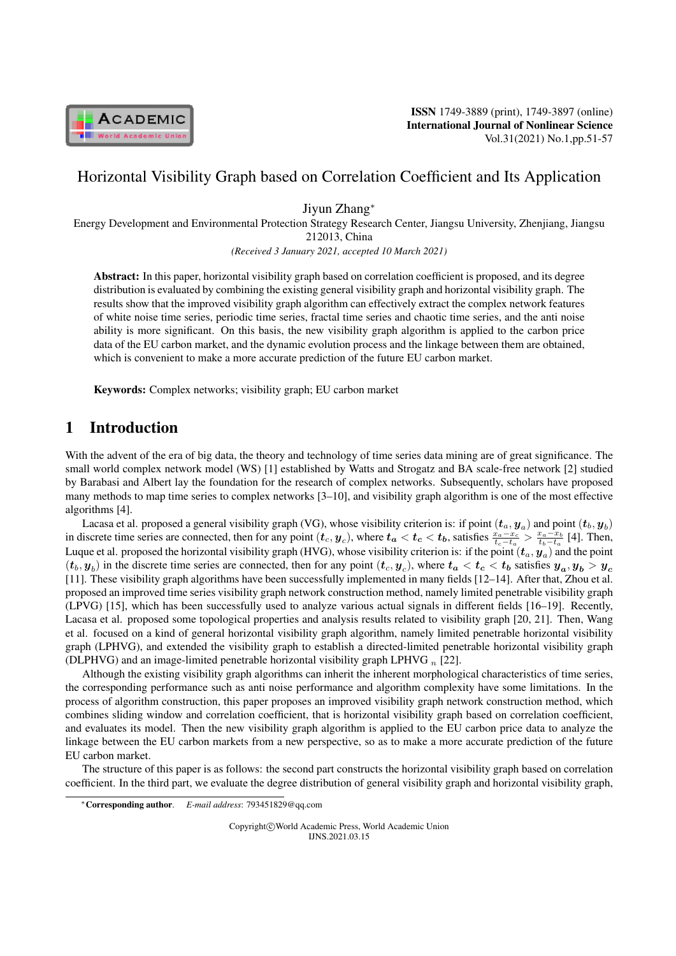

ISSN 1749-3889 (print), 1749-3897 (online) International Journal of Nonlinear Science Vol.31(2021) No.1,pp.51-57

# Horizontal Visibility Graph based on Correlation Coefficient and Its Application

Jiyun Zhang*<sup>∗</sup>*

Energy Development and Environmental Protection Strategy Research Center, Jiangsu University, Zhenjiang, Jiangsu 212013, China

*(Received 3 January 2021, accepted 10 March 2021)*

Abstract: In this paper, horizontal visibility graph based on correlation coefficient is proposed, and its degree distribution is evaluated by combining the existing general visibility graph and horizontal visibility graph. The results show that the improved visibility graph algorithm can effectively extract the complex network features of white noise time series, periodic time series, fractal time series and chaotic time series, and the anti noise ability is more significant. On this basis, the new visibility graph algorithm is applied to the carbon price data of the EU carbon market, and the dynamic evolution process and the linkage between them are obtained, which is convenient to make a more accurate prediction of the future EU carbon market.

Keywords: Complex networks; visibility graph; EU carbon market

# 1 Introduction

With the advent of the era of big data, the theory and technology of time series data mining are of great significance. The small world complex network model (WS) [1] established by Watts and Strogatz and BA scale-free network [2] studied by Barabasi and Albert lay the foundation for the research of complex networks. Subsequently, scholars have proposed many methods to map time series to complex networks [3–10], and visibility graph algorithm is one of the most effective algorithms [4].

Lacasa et al. proposed a general visibility graph (VG), whose visibility criterion is: if point  $(t_a,y_a)$  and point  $(t_b,y_b)$ in discrete time series are connected, then for any point  $(t_c, y_c)$ , where  $t_a < t_c < t_b$ , satisfies  $\frac{x_a - x_c}{t_c - t_a} > \frac{x_a - x_b}{t_b - t_a}$  [4]. Then, Luque et al. proposed the horizontal visibility graph (HVG), whose visibility criterion is: if the point  $(t_a,y_a)$  and the point  $(t_b, y_b)$  in the discrete time series are connected, then for any point  $(t_c, y_c)$ , where  $t_a < t_c < t_b$  satisfies  $y_a, y_b > y_c$ [11]. These visibility graph algorithms have been successfully implemented in many fields [12–14]. After that, Zhou et al. proposed an improved time series visibility graph network construction method, namely limited penetrable visibility graph (LPVG) [15], which has been successfully used to analyze various actual signals in different fields [16–19]. Recently, Lacasa et al. proposed some topological properties and analysis results related to visibility graph [20, 21]. Then, Wang et al. focused on a kind of general horizontal visibility graph algorithm, namely limited penetrable horizontal visibility graph (LPHVG), and extended the visibility graph to establish a directed-limited penetrable horizontal visibility graph (DLPHVG) and an image-limited penetrable horizontal visibility graph LPHVG *<sup>n</sup>* [22].

Although the existing visibility graph algorithms can inherit the inherent morphological characteristics of time series, the corresponding performance such as anti noise performance and algorithm complexity have some limitations. In the process of algorithm construction, this paper proposes an improved visibility graph network construction method, which combines sliding window and correlation coefficient, that is horizontal visibility graph based on correlation coefficient, and evaluates its model. Then the new visibility graph algorithm is applied to the EU carbon price data to analyze the linkage between the EU carbon markets from a new perspective, so as to make a more accurate prediction of the future EU carbon market.

The structure of this paper is as follows: the second part constructs the horizontal visibility graph based on correlation coefficient. In the third part, we evaluate the degree distribution of general visibility graph and horizontal visibility graph,

Copyright*⃝*c World Academic Press, World Academic Union IJNS.2021.03.15

*<sup>∗</sup>*Corresponding author. *E-mail address*: 793451829@qq.com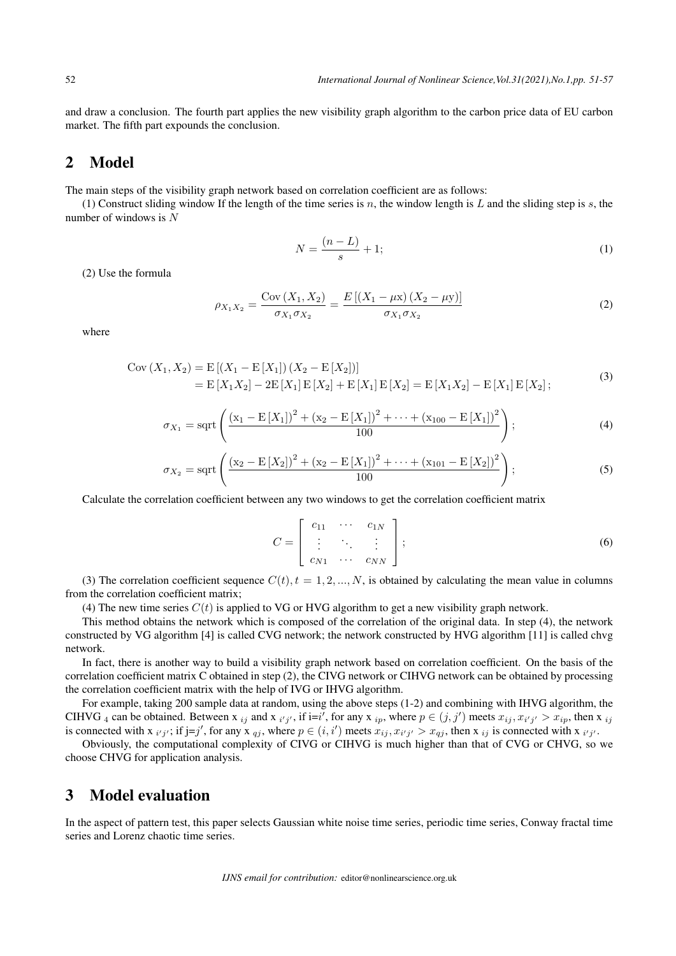and draw a conclusion. The fourth part applies the new visibility graph algorithm to the carbon price data of EU carbon market. The fifth part expounds the conclusion.

### 2 Model

The main steps of the visibility graph network based on correlation coefficient are as follows:

(1) Construct sliding window If the length of the time series is *n*, the window length is *L* and the sliding step is *s*, the number of windows is *N*

$$
N = \frac{(n - L)}{s} + 1;\t\t(1)
$$

(2) Use the formula

$$
\rho_{X_1 X_2} = \frac{\text{Cov}(X_1, X_2)}{\sigma_{X_1} \sigma_{X_2}} = \frac{E\left[ (X_1 - \mu x) (X_2 - \mu y) \right]}{\sigma_{X_1} \sigma_{X_2}}
$$
(2)

where

Cov 
$$
(X_1, X_2)
$$
 = E  $[(X_1 - E[X_1]) (X_2 - E[X_2])]$   
= E  $[X_1X_2] - 2E[X_1]E[X_2] + E[X_1]E[X_2] = E[X_1X_2] - E[X_1]E[X_2]$  (3)

$$
\sigma_{X_1} = \operatorname{sqrt}\left(\frac{(\mathbf{x}_1 - \mathbf{E}[X_1])^2 + (\mathbf{x}_2 - \mathbf{E}[X_1])^2 + \dots + (\mathbf{x}_{100} - \mathbf{E}[X_1])^2}{100}\right);
$$
\n(4)

$$
\sigma_{X_2} = \operatorname{sqrt}\left(\frac{(\mathbf{x}_2 - \mathbf{E}[X_2])^2 + (\mathbf{x}_2 - \mathbf{E}[X_1])^2 + \dots + (\mathbf{x}_{101} - \mathbf{E}[X_2])^2}{100}\right);
$$
\n(5)

Calculate the correlation coefficient between any two windows to get the correlation coefficient matrix

$$
C = \begin{bmatrix} c_{11} & \cdots & c_{1N} \\ \vdots & \ddots & \vdots \\ c_{N1} & \cdots & c_{NN} \end{bmatrix};
$$
 (6)

(3) The correlation coefficient sequence  $C(t)$ ,  $t = 1, 2, ..., N$ , is obtained by calculating the mean value in columns from the correlation coefficient matrix;

(4) The new time series  $C(t)$  is applied to VG or HVG algorithm to get a new visibility graph network.

This method obtains the network which is composed of the correlation of the original data. In step (4), the network constructed by VG algorithm [4] is called CVG network; the network constructed by HVG algorithm [11] is called chvg network.

In fact, there is another way to build a visibility graph network based on correlation coefficient. On the basis of the correlation coefficient matrix C obtained in step (2), the CIVG network or CIHVG network can be obtained by processing the correlation coefficient matrix with the help of IVG or IHVG algorithm.

For example, taking 200 sample data at random, using the above steps (1-2) and combining with IHVG algorithm, the CIHVG 4 can be obtained. Between x  $_{ij}$  and x  $_{i'j'}$ , if  $i=i'$ , for any x  $_{ip}$ , where  $p \in (j, j')$  meets  $x_{ij}, x_{i'j'} > x_{ip}$ , then x  $_{ij}$ is connected with x  $_{i'j'}$ ; if  $j=j'$ , for any x  $_{qj}$ , where  $p \in (i, i')$  meets  $x_{ij}, x_{i'j'} > x_{qj}$ , then x  $_{ij}$  is connected with x  $_{i'j'}$ .

Obviously, the computational complexity of CIVG or CIHVG is much higher than that of CVG or CHVG, so we choose CHVG for application analysis.

### 3 Model evaluation

In the aspect of pattern test, this paper selects Gaussian white noise time series, periodic time series, Conway fractal time series and Lorenz chaotic time series.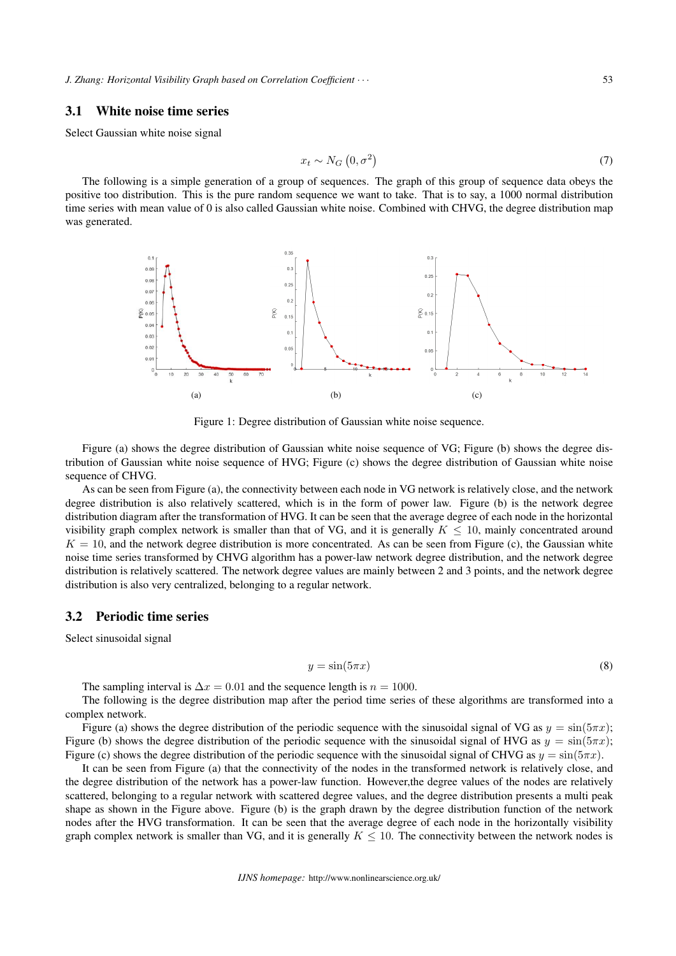*J. Zhang: Horizontal Visibility Graph based on Correlation Coefficient*  $\cdot \cdot \cdot$  53

#### 3.1 White noise time series

Select Gaussian white noise signal

$$
x_t \sim N_G\left(0, \sigma^2\right) \tag{7}
$$

The following is a simple generation of a group of sequences. The graph of this group of sequence data obeys the positive too distribution. This is the pure random sequence we want to take. That is to say, a 1000 normal distribution time series with mean value of 0 is also called Gaussian white noise. Combined with CHVG, the degree distribution map was generated.



Figure 1: Degree distribution of Gaussian white noise sequence.

Figure (a) shows the degree distribution of Gaussian white noise sequence of VG; Figure (b) shows the degree distribution of Gaussian white noise sequence of HVG; Figure (c) shows the degree distribution of Gaussian white noise sequence of CHVG.

As can be seen from Figure (a), the connectivity between each node in VG network is relatively close, and the network degree distribution is also relatively scattered, which is in the form of power law. Figure (b) is the network degree distribution diagram after the transformation of HVG. It can be seen that the average degree of each node in the horizontal visibility graph complex network is smaller than that of VG, and it is generally  $K \leq 10$ , mainly concentrated around  $K = 10$ , and the network degree distribution is more concentrated. As can be seen from Figure (c), the Gaussian white noise time series transformed by CHVG algorithm has a power-law network degree distribution, and the network degree distribution is relatively scattered. The network degree values are mainly between 2 and 3 points, and the network degree distribution is also very centralized, belonging to a regular network.

#### 3.2 Periodic time series

Select sinusoidal signal

$$
y = \sin(5\pi x) \tag{8}
$$

The sampling interval is  $\Delta x = 0.01$  and the sequence length is  $n = 1000$ .

The following is the degree distribution map after the period time series of these algorithms are transformed into a complex network.

Figure (a) shows the degree distribution of the periodic sequence with the sinusoidal signal of VG as  $y = \sin(5\pi x)$ ; Figure (b) shows the degree distribution of the periodic sequence with the sinusoidal signal of HVG as  $y = \sin(5\pi x)$ ; Figure (c) shows the degree distribution of the periodic sequence with the sinusoidal signal of CHVG as  $y = \sin(5\pi x)$ .

It can be seen from Figure (a) that the connectivity of the nodes in the transformed network is relatively close, and the degree distribution of the network has a power-law function. However,the degree values of the nodes are relatively scattered, belonging to a regular network with scattered degree values, and the degree distribution presents a multi peak shape as shown in the Figure above. Figure (b) is the graph drawn by the degree distribution function of the network nodes after the HVG transformation. It can be seen that the average degree of each node in the horizontally visibility graph complex network is smaller than VG, and it is generally  $K \leq 10$ . The connectivity between the network nodes is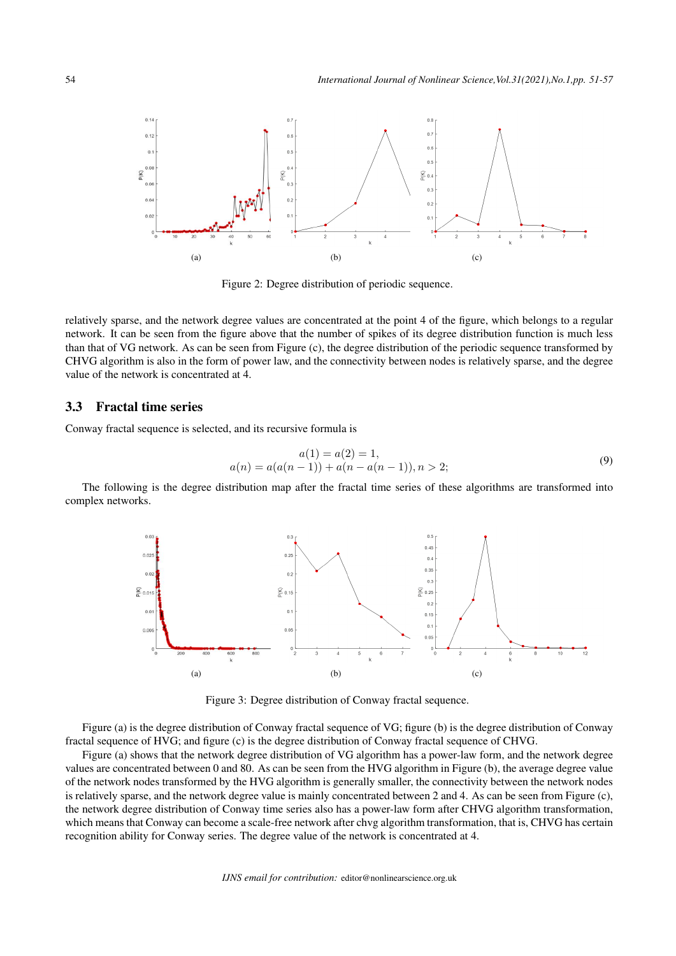

Figure 2: Degree distribution of periodic sequence.

relatively sparse, and the network degree values are concentrated at the point 4 of the figure, which belongs to a regular network. It can be seen from the figure above that the number of spikes of its degree distribution function is much less than that of VG network. As can be seen from Figure (c), the degree distribution of the periodic sequence transformed by CHVG algorithm is also in the form of power law, and the connectivity between nodes is relatively sparse, and the degree value of the network is concentrated at 4.

#### 3.3 Fractal time series

Conway fractal sequence is selected, and its recursive formula is

$$
a(1) = a(2) = 1,
$$
  
\n
$$
a(n) = a(a(n-1)) + a(n - a(n-1)), n > 2;
$$
\n(9)

The following is the degree distribution map after the fractal time series of these algorithms are transformed into complex networks.



Figure 3: Degree distribution of Conway fractal sequence.

Figure (a) is the degree distribution of Conway fractal sequence of VG; figure (b) is the degree distribution of Conway fractal sequence of HVG; and figure (c) is the degree distribution of Conway fractal sequence of CHVG.

Figure (a) shows that the network degree distribution of VG algorithm has a power-law form, and the network degree values are concentrated between 0 and 80. As can be seen from the HVG algorithm in Figure (b), the average degree value of the network nodes transformed by the HVG algorithm is generally smaller, the connectivity between the network nodes is relatively sparse, and the network degree value is mainly concentrated between 2 and 4. As can be seen from Figure (c), the network degree distribution of Conway time series also has a power-law form after CHVG algorithm transformation, which means that Conway can become a scale-free network after chvg algorithm transformation, that is, CHVG has certain recognition ability for Conway series. The degree value of the network is concentrated at 4.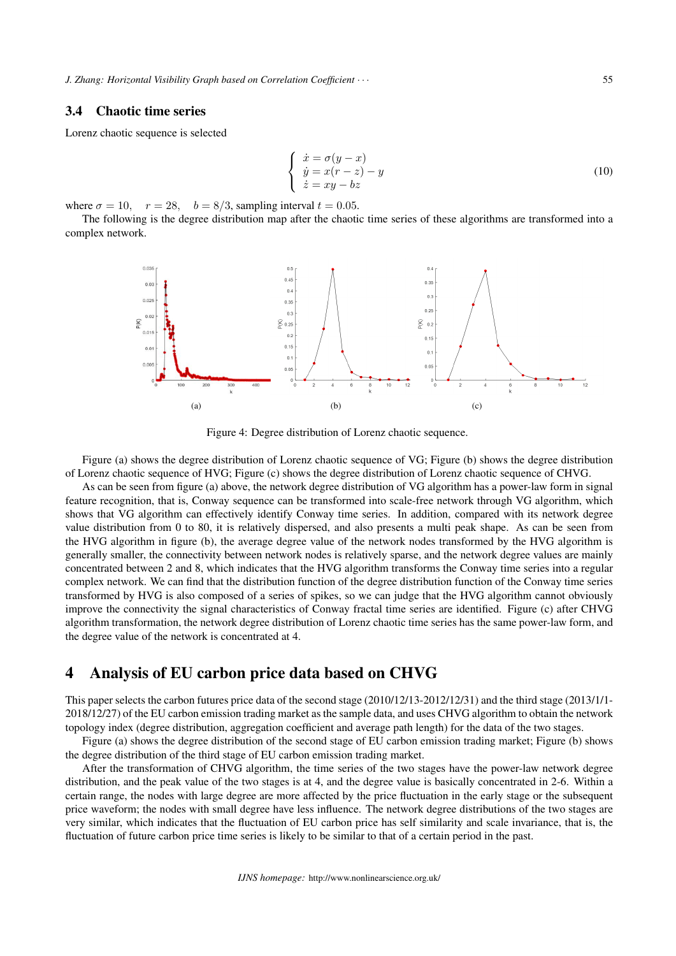#### 3.4 Chaotic time series

Lorenz chaotic sequence is selected

$$
\begin{cases}\n\dot{x} = \sigma(y - x) \\
\dot{y} = x(r - z) - y \\
\dot{z} = xy - bz\n\end{cases}
$$
\n(10)

where  $\sigma = 10$ ,  $r = 28$ ,  $b = 8/3$ , sampling interval  $t = 0.05$ .

The following is the degree distribution map after the chaotic time series of these algorithms are transformed into a complex network.



Figure 4: Degree distribution of Lorenz chaotic sequence.

Figure (a) shows the degree distribution of Lorenz chaotic sequence of VG; Figure (b) shows the degree distribution of Lorenz chaotic sequence of HVG; Figure (c) shows the degree distribution of Lorenz chaotic sequence of CHVG.

As can be seen from figure (a) above, the network degree distribution of VG algorithm has a power-law form in signal feature recognition, that is, Conway sequence can be transformed into scale-free network through VG algorithm, which shows that VG algorithm can effectively identify Conway time series. In addition, compared with its network degree value distribution from 0 to 80, it is relatively dispersed, and also presents a multi peak shape. As can be seen from the HVG algorithm in figure (b), the average degree value of the network nodes transformed by the HVG algorithm is generally smaller, the connectivity between network nodes is relatively sparse, and the network degree values are mainly concentrated between 2 and 8, which indicates that the HVG algorithm transforms the Conway time series into a regular complex network. We can find that the distribution function of the degree distribution function of the Conway time series transformed by HVG is also composed of a series of spikes, so we can judge that the HVG algorithm cannot obviously improve the connectivity the signal characteristics of Conway fractal time series are identified. Figure (c) after CHVG algorithm transformation, the network degree distribution of Lorenz chaotic time series has the same power-law form, and the degree value of the network is concentrated at 4.

### 4 Analysis of EU carbon price data based on CHVG

This paper selects the carbon futures price data of the second stage (2010/12/13-2012/12/31) and the third stage (2013/1/1- 2018/12/27) of the EU carbon emission trading market as the sample data, and uses CHVG algorithm to obtain the network topology index (degree distribution, aggregation coefficient and average path length) for the data of the two stages.

Figure (a) shows the degree distribution of the second stage of EU carbon emission trading market; Figure (b) shows the degree distribution of the third stage of EU carbon emission trading market.

After the transformation of CHVG algorithm, the time series of the two stages have the power-law network degree distribution, and the peak value of the two stages is at 4, and the degree value is basically concentrated in 2-6. Within a certain range, the nodes with large degree are more affected by the price fluctuation in the early stage or the subsequent price waveform; the nodes with small degree have less influence. The network degree distributions of the two stages are very similar, which indicates that the fluctuation of EU carbon price has self similarity and scale invariance, that is, the fluctuation of future carbon price time series is likely to be similar to that of a certain period in the past.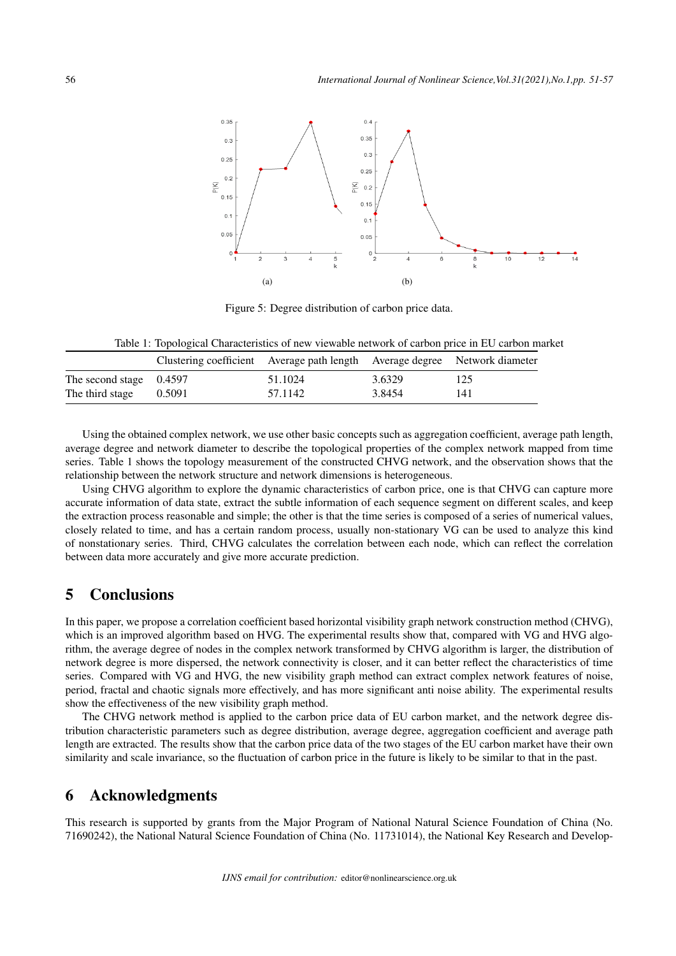

Figure 5: Degree distribution of carbon price data.

Table 1: Topological Characteristics of new viewable network of carbon price in EU carbon market

|                           | Clustering coefficient Average path length Average degree Network diameter |         |        |     |
|---------------------------|----------------------------------------------------------------------------|---------|--------|-----|
| The second stage $0.4597$ |                                                                            | 51.1024 | 3.6329 | 125 |
| The third stage           | 0.5091                                                                     | 57.1142 | 3.8454 | 141 |

Using the obtained complex network, we use other basic concepts such as aggregation coefficient, average path length, average degree and network diameter to describe the topological properties of the complex network mapped from time series. Table 1 shows the topology measurement of the constructed CHVG network, and the observation shows that the relationship between the network structure and network dimensions is heterogeneous.

Using CHVG algorithm to explore the dynamic characteristics of carbon price, one is that CHVG can capture more accurate information of data state, extract the subtle information of each sequence segment on different scales, and keep the extraction process reasonable and simple; the other is that the time series is composed of a series of numerical values, closely related to time, and has a certain random process, usually non-stationary VG can be used to analyze this kind of nonstationary series. Third, CHVG calculates the correlation between each node, which can reflect the correlation between data more accurately and give more accurate prediction.

## 5 Conclusions

In this paper, we propose a correlation coefficient based horizontal visibility graph network construction method (CHVG), which is an improved algorithm based on HVG. The experimental results show that, compared with VG and HVG algorithm, the average degree of nodes in the complex network transformed by CHVG algorithm is larger, the distribution of network degree is more dispersed, the network connectivity is closer, and it can better reflect the characteristics of time series. Compared with VG and HVG, the new visibility graph method can extract complex network features of noise, period, fractal and chaotic signals more effectively, and has more significant anti noise ability. The experimental results show the effectiveness of the new visibility graph method.

The CHVG network method is applied to the carbon price data of EU carbon market, and the network degree distribution characteristic parameters such as degree distribution, average degree, aggregation coefficient and average path length are extracted. The results show that the carbon price data of the two stages of the EU carbon market have their own similarity and scale invariance, so the fluctuation of carbon price in the future is likely to be similar to that in the past.

## 6 Acknowledgments

This research is supported by grants from the Major Program of National Natural Science Foundation of China (No. 71690242), the National Natural Science Foundation of China (No. 11731014), the National Key Research and Develop